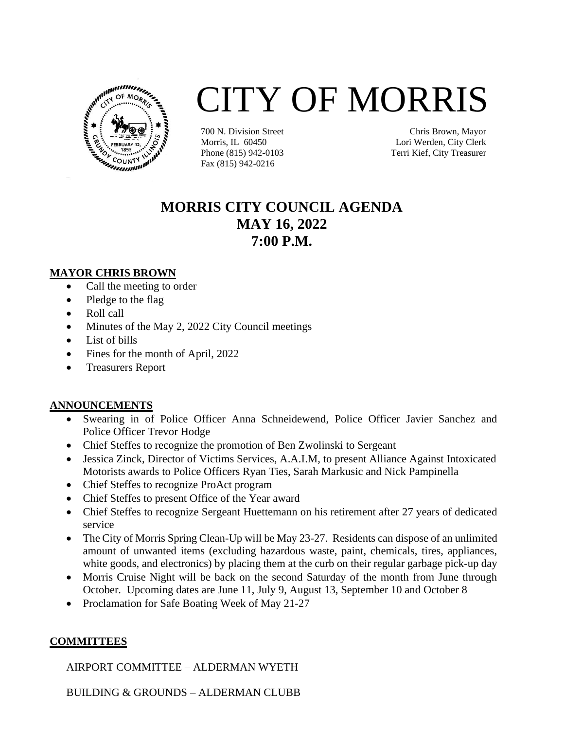

# CITY OF MORRIS

700 N. Division Street Morris, IL 60450 Phone (815) 942-0103 Fax (815) 942-0216

Chris Brown, Mayor Lori Werden, City Clerk Terri Kief, City Treasurer

# **MORRIS CITY COUNCIL AGENDA MAY 16, 2022 7:00 P.M.**

#### **MAYOR CHRIS BROWN**

- Call the meeting to order
- Pledge to the flag
- Roll call
- Minutes of the May 2, 2022 City Council meetings
- List of bills
- Fines for the month of April, 2022
- Treasurers Report

## **ANNOUNCEMENTS**

- Swearing in of Police Officer Anna Schneidewend, Police Officer Javier Sanchez and Police Officer Trevor Hodge
- Chief Steffes to recognize the promotion of Ben Zwolinski to Sergeant
- Jessica Zinck, Director of Victims Services, A.A.I.M, to present Alliance Against Intoxicated Motorists awards to Police Officers Ryan Ties, Sarah Markusic and Nick Pampinella
- Chief Steffes to recognize ProAct program
- Chief Steffes to present Office of the Year award
- Chief Steffes to recognize Sergeant Huettemann on his retirement after 27 years of dedicated service
- The City of Morris Spring Clean-Up will be May 23-27. Residents can dispose of an unlimited amount of unwanted items (excluding hazardous waste, paint, chemicals, tires, appliances, white goods, and electronics) by placing them at the curb on their regular garbage pick-up day
- Morris Cruise Night will be back on the second Saturday of the month from June through October. Upcoming dates are June 11, July 9, August 13, September 10 and October 8
- Proclamation for Safe Boating Week of May 21-27

## **COMMITTEES**

AIRPORT COMMITTEE – ALDERMAN WYETH

BUILDING & GROUNDS – ALDERMAN CLUBB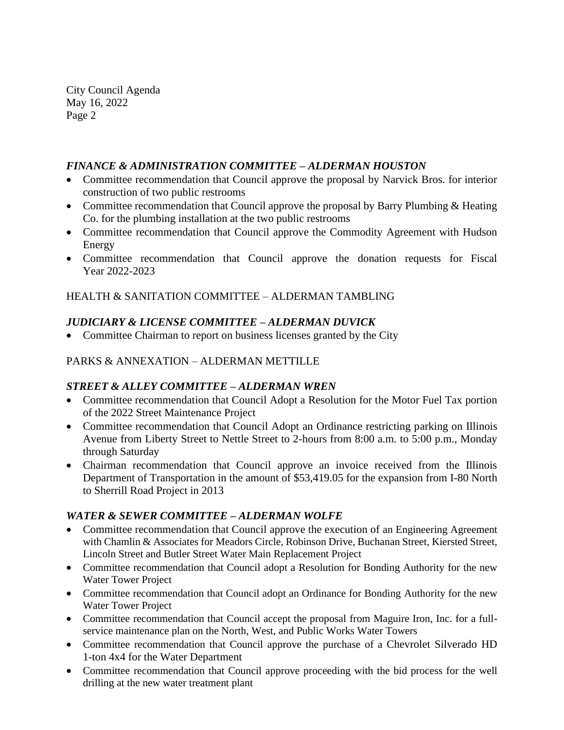City Council Agenda May 16, 2022 Page 2

#### *FINANCE & ADMINISTRATION COMMITTEE – ALDERMAN HOUSTON*

- Committee recommendation that Council approve the proposal by Narvick Bros. for interior construction of two public restrooms
- Committee recommendation that Council approve the proposal by Barry Plumbing & Heating Co. for the plumbing installation at the two public restrooms
- Committee recommendation that Council approve the Commodity Agreement with Hudson Energy
- Committee recommendation that Council approve the donation requests for Fiscal Year 2022-2023

HEALTH & SANITATION COMMITTEE – ALDERMAN TAMBLING

## *JUDICIARY & LICENSE COMMITTEE – ALDERMAN DUVICK*

• Committee Chairman to report on business licenses granted by the City

#### PARKS & ANNEXATION – ALDERMAN METTILLE

#### *STREET & ALLEY COMMITTEE – ALDERMAN WREN*

- Committee recommendation that Council Adopt a Resolution for the Motor Fuel Tax portion of the 2022 Street Maintenance Project
- Committee recommendation that Council Adopt an Ordinance restricting parking on Illinois Avenue from Liberty Street to Nettle Street to 2-hours from 8:00 a.m. to 5:00 p.m., Monday through Saturday
- Chairman recommendation that Council approve an invoice received from the Illinois Department of Transportation in the amount of \$53,419.05 for the expansion from I-80 North to Sherrill Road Project in 2013

#### *WATER & SEWER COMMITTEE – ALDERMAN WOLFE*

- Committee recommendation that Council approve the execution of an Engineering Agreement with Chamlin & Associates for Meadors Circle, Robinson Drive, Buchanan Street, Kiersted Street, Lincoln Street and Butler Street Water Main Replacement Project
- Committee recommendation that Council adopt a Resolution for Bonding Authority for the new Water Tower Project
- Committee recommendation that Council adopt an Ordinance for Bonding Authority for the new Water Tower Project
- Committee recommendation that Council accept the proposal from Maguire Iron, Inc. for a fullservice maintenance plan on the North, West, and Public Works Water Towers
- Committee recommendation that Council approve the purchase of a Chevrolet Silverado HD 1-ton 4x4 for the Water Department
- Committee recommendation that Council approve proceeding with the bid process for the well drilling at the new water treatment plant